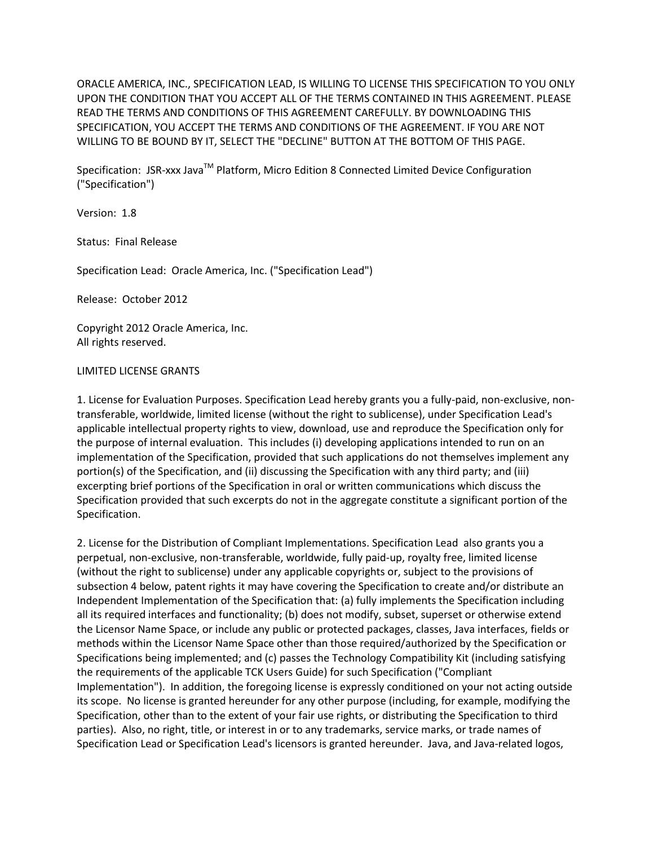ORACLE AMERICA, INC., SPECIFICATION LEAD, IS WILLING TO LICENSE THIS SPECIFICATION TO YOU ONLY UPON THE CONDITION THAT YOU ACCEPT ALL OF THE TERMS CONTAINED IN THIS AGREEMENT. PLEASE READ THE TERMS AND CONDITIONS OF THIS AGREEMENT CAREFULLY. BY DOWNLOADING THIS SPECIFICATION, YOU ACCEPT THE TERMS AND CONDITIONS OF THE AGREEMENT. IF YOU ARE NOT WILLING TO BE BOUND BY IT, SELECT THE "DECLINE" BUTTON AT THE BOTTOM OF THIS PAGE.

Specification: JSR-xxx Java™ Platform, Micro Edition 8 Connected Limited Device Configuration ("Specification")

Version: 1.8

Status: Final Release

Specification Lead: Oracle America, Inc. ("Specification Lead")

Release: October 2012

Copyright 2012 Oracle America, Inc. All rights reserved.

## LIMITED LICENSE GRANTS

1. License for Evaluation Purposes. Specification Lead hereby grants you a fully-paid, non-exclusive, nontransferable, worldwide, limited license (without the right to sublicense), under Specification Lead's applicable intellectual property rights to view, download, use and reproduce the Specification only for the purpose of internal evaluation. This includes (i) developing applications intended to run on an implementation of the Specification, provided that such applications do not themselves implement any portion(s) of the Specification, and (ii) discussing the Specification with any third party; and (iii) excerpting brief portions of the Specification in oral or written communications which discuss the Specification provided that such excerpts do not in the aggregate constitute a significant portion of the Specification.

2. License for the Distribution of Compliant Implementations. Specification Lead also grants you a perpetual, non-exclusive, non-transferable, worldwide, fully paid-up, royalty free, limited license (without the right to sublicense) under any applicable copyrights or, subject to the provisions of subsection 4 below, patent rights it may have covering the Specification to create and/or distribute an Independent Implementation of the Specification that: (a) fully implements the Specification including all its required interfaces and functionality; (b) does not modify, subset, superset or otherwise extend the Licensor Name Space, or include any public or protected packages, classes, Java interfaces, fields or methods within the Licensor Name Space other than those required/authorized by the Specification or Specifications being implemented; and (c) passes the Technology Compatibility Kit (including satisfying the requirements of the applicable TCK Users Guide) for such Specification ("Compliant Implementation"). In addition, the foregoing license is expressly conditioned on your not acting outside its scope. No license is granted hereunder for any other purpose (including, for example, modifying the Specification, other than to the extent of your fair use rights, or distributing the Specification to third parties). Also, no right, title, or interest in or to any trademarks, service marks, or trade names of Specification Lead or Specification Lead's licensors is granted hereunder. Java, and Java-related logos,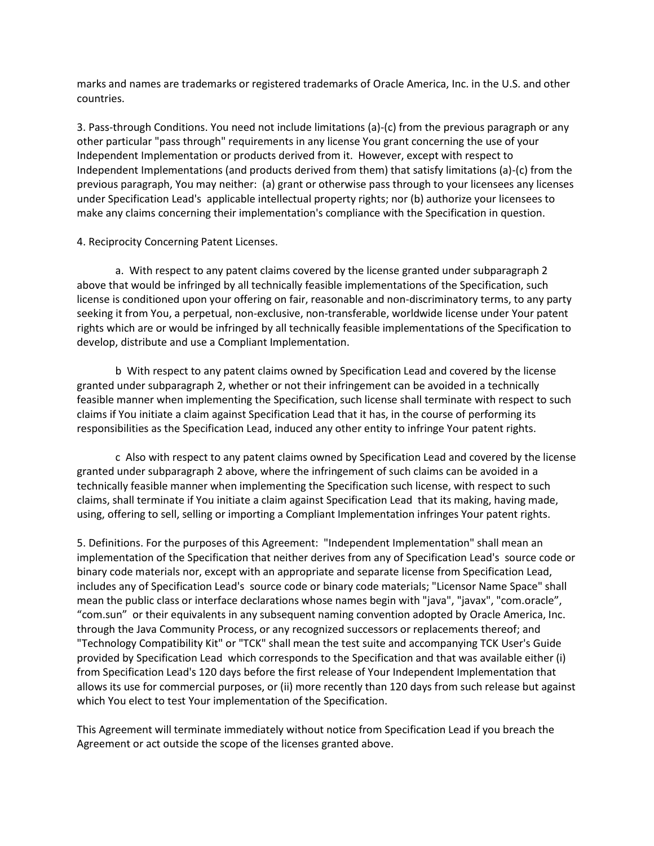marks and names are trademarks or registered trademarks of Oracle America, Inc. in the U.S. and other countries.

3. Pass-through Conditions. You need not include limitations (a)-(c) from the previous paragraph or any other particular "pass through" requirements in any license You grant concerning the use of your Independent Implementation or products derived from it. However, except with respect to Independent Implementations (and products derived from them) that satisfy limitations (a)-(c) from the previous paragraph, You may neither: (a) grant or otherwise pass through to your licensees any licenses under Specification Lead's applicable intellectual property rights; nor (b) authorize your licensees to make any claims concerning their implementation's compliance with the Specification in question.

### 4. Reciprocity Concerning Patent Licenses.

a. With respect to any patent claims covered by the license granted under subparagraph 2 above that would be infringed by all technically feasible implementations of the Specification, such license is conditioned upon your offering on fair, reasonable and non-discriminatory terms, to any party seeking it from You, a perpetual, non-exclusive, non-transferable, worldwide license under Your patent rights which are or would be infringed by all technically feasible implementations of the Specification to develop, distribute and use a Compliant Implementation.

b With respect to any patent claims owned by Specification Lead and covered by the license granted under subparagraph 2, whether or not their infringement can be avoided in a technically feasible manner when implementing the Specification, such license shall terminate with respect to such claims if You initiate a claim against Specification Lead that it has, in the course of performing its responsibilities as the Specification Lead, induced any other entity to infringe Your patent rights.

c Also with respect to any patent claims owned by Specification Lead and covered by the license granted under subparagraph 2 above, where the infringement of such claims can be avoided in a technically feasible manner when implementing the Specification such license, with respect to such claims, shall terminate if You initiate a claim against Specification Lead that its making, having made, using, offering to sell, selling or importing a Compliant Implementation infringes Your patent rights.

5. Definitions. For the purposes of this Agreement: "Independent Implementation" shall mean an implementation of the Specification that neither derives from any of Specification Lead's source code or binary code materials nor, except with an appropriate and separate license from Specification Lead, includes any of Specification Lead's source code or binary code materials; "Licensor Name Space" shall mean the public class or interface declarations whose names begin with "java", "javax", "com.oracle", "com.sun" or their equivalents in any subsequent naming convention adopted by Oracle America, Inc. through the Java Community Process, or any recognized successors or replacements thereof; and "Technology Compatibility Kit" or "TCK" shall mean the test suite and accompanying TCK User's Guide provided by Specification Lead which corresponds to the Specification and that was available either (i) from Specification Lead's 120 days before the first release of Your Independent Implementation that allows its use for commercial purposes, or (ii) more recently than 120 days from such release but against which You elect to test Your implementation of the Specification.

This Agreement will terminate immediately without notice from Specification Lead if you breach the Agreement or act outside the scope of the licenses granted above.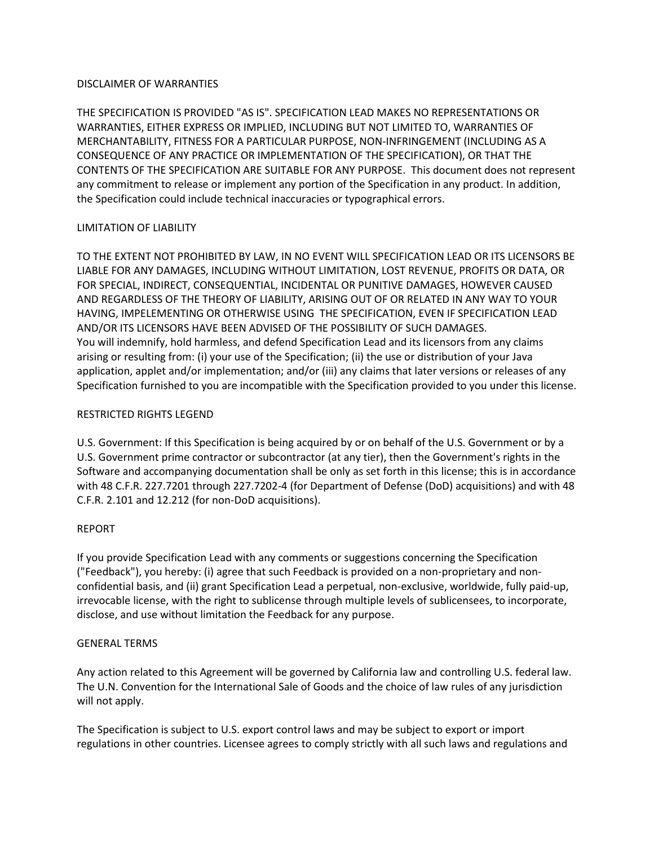## DISCLAIMER OF WARRANTIES

THE SPECIFICATION IS PROVIDED "AS IS". SPECIFICATION LEAD MAKES NO REPRESENTATIONS OR WARRANTIES, EITHER EXPRESS OR IMPLIED, INCLUDING BUT NOT LIMITED TO, WARRANTIES OF MERCHANTABILITY, FITNESS FOR A PARTICULAR PURPOSE, NON-INFRINGEMENT (INCLUDING AS A CONSEQUENCE OF ANY PRACTICE OR IMPLEMENTATION OF THE SPECIFICATION), OR THAT THE CONTENTS OF THE SPECIFICATION ARE SUITABLE FOR ANY PURPOSE. This document does not represent any commitment to release or implement any portion of the Specification in any product. In addition, the Specification could include technical inaccuracies or typographical errors.

## LIMITATION OF LIABILITY

TO THE EXTENT NOT PROHIBITED BY LAW, IN NO EVENT WILL SPECIFICATION LEAD OR ITS LICENSORS BE LIABLE FOR ANY DAMAGES, INCLUDING WITHOUT LIMITATION, LOST REVENUE, PROFITS OR DATA, OR FOR SPECIAL, INDIRECT, CONSEQUENTIAL, INCIDENTAL OR PUNITIVE DAMAGES, HOWEVER CAUSED AND REGARDLESS OF THE THEORY OF LIABILITY, ARISING OUT OF OR RELATED IN ANY WAY TO YOUR HAVING, IMPELEMENTING OR OTHERWISE USING THE SPECIFICATION, EVEN IF SPECIFICATION LEAD AND/OR ITS LICENSORS HAVE BEEN ADVISED OF THE POSSIBILITY OF SUCH DAMAGES. You will indemnify, hold harmless, and defend Specification Lead and its licensors from any claims arising or resulting from: (i) your use of the Specification; (ii) the use or distribution of your Java application, applet and/or implementation; and/or (iii) any claims that later versions or releases of any Specification furnished to you are incompatible with the Specification provided to you under this license.

## RESTRICTED RIGHTS LEGEND

U.S. Government: If this Specification is being acquired by or on behalf of the U.S. Government or by a U.S. Government prime contractor or subcontractor (at any tier), then the Government's rights in the Software and accompanying documentation shall be only as set forth in this license; this is in accordance with 48 C.F.R. 227.7201 through 227.7202-4 (for Department of Defense (DoD) acquisitions) and with 48 C.F.R. 2.101 and 12.212 (for non-DoD acquisitions).

# REPORT

If you provide Specification Lead with any comments or suggestions concerning the Specification ("Feedback"), you hereby: (i) agree that such Feedback is provided on a non-proprietary and nonconfidential basis, and (ii) grant Specification Lead a perpetual, non-exclusive, worldwide, fully paid-up, irrevocable license, with the right to sublicense through multiple levels of sublicensees, to incorporate, disclose, and use without limitation the Feedback for any purpose.

## GENERAL TERMS

Any action related to this Agreement will be governed by California law and controlling U.S. federal law. The U.N. Convention for the International Sale of Goods and the choice of law rules of any jurisdiction will not apply.

The Specification is subject to U.S. export control laws and may be subject to export or import regulations in other countries. Licensee agrees to comply strictly with all such laws and regulations and